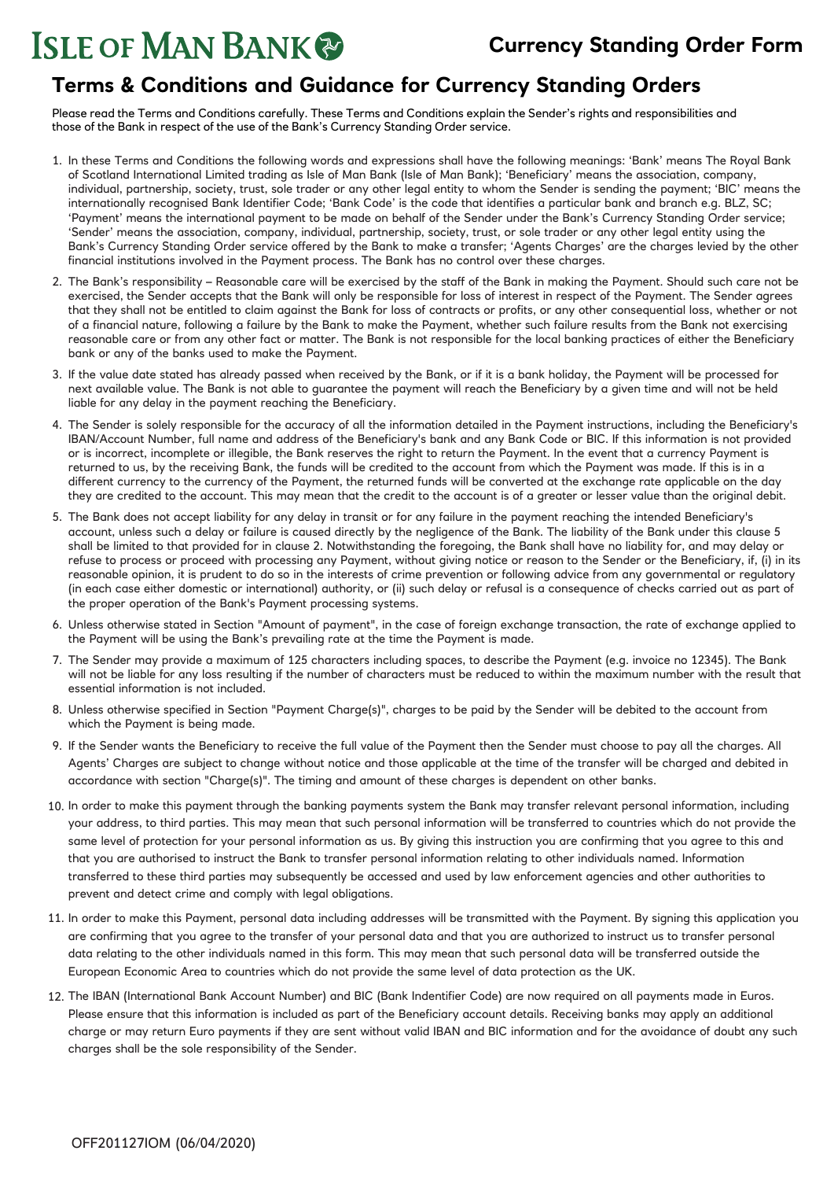## **Terms & Conditions and Guidance for Currency Standing Orders**

Please read the Terms and Conditions carefully. These Terms and Conditions explain the Sender's rights and responsibilities and those of the Bank in respect of the use of the Bank's Currency Standing Order service.

- 1. In these Terms and Conditions the following words and expressions shall have the following meanings: 'Bank' means The Royal Bank of Scotland International Limited trading as Isle of Man Bank (Isle of Man Bank); 'Beneficiary' means the association, company, individual, partnership, society, trust, sole trader or any other legal entity to whom the Sender is sending the payment; 'BIC' means the internationally recognised Bank Identifier Code; 'Bank Code' is the code that identifies a particular bank and branch e.g. BLZ, SC; 'Payment' means the international payment to be made on behalf of the Sender under the Bank's Currency Standing Order service; 'Sender' means the association, company, individual, partnership, society, trust, or sole trader or any other legal entity using the Bank's Currency Standing Order service offered by the Bank to make a transfer; 'Agents Charges' are the charges levied by the other financial institutions involved in the Payment process. The Bank has no control over these charges.
- 2. The Bank's responsibility Reasonable care will be exercised by the staff of the Bank in making the Payment. Should such care not be exercised, the Sender accepts that the Bank will only be responsible for loss of interest in respect of the Payment. The Sender agrees that they shall not be entitled to claim against the Bank for loss of contracts or profits, or any other consequential loss, whether or not of a financial nature, following a failure by the Bank to make the Payment, whether such failure results from the Bank not exercising reasonable care or from any other fact or matter. The Bank is not responsible for the local banking practices of either the Beneficiary bank or any of the banks used to make the Payment.
- 3. If the value date stated has already passed when received by the Bank, or if it is a bank holiday, the Payment will be processed for next available value. The Bank is not able to guarantee the payment will reach the Beneficiary by a given time and will not be held liable for any delay in the payment reaching the Beneficiary.
- 4. The Sender is solely responsible for the accuracy of all the information detailed in the Payment instructions, including the Beneficiary's IBAN/Account Number, full name and address of the Beneficiary's bank and any Bank Code or BIC. If this information is not provided or is incorrect, incomplete or illegible, the Bank reserves the right to return the Payment. In the event that a currency Payment is returned to us, by the receiving Bank, the funds will be credited to the account from which the Payment was made. If this is in a different currency to the currency of the Payment, the returned funds will be converted at the exchange rate applicable on the day they are credited to the account. This may mean that the credit to the account is of a greater or lesser value than the original debit.
- 5. The Bank does not accept liability for any delay in transit or for any failure in the payment reaching the intended Beneficiary's account, unless such a delay or failure is caused directly by the negligence of the Bank. The liability of the Bank under this clause 5 shall be limited to that provided for in clause 2. Notwithstanding the foregoing, the Bank shall have no liability for, and may delay or refuse to process or proceed with processing any Payment, without giving notice or reason to the Sender or the Beneficiary, if, (i) in its reasonable opinion, it is prudent to do so in the interests of crime prevention or following advice from any governmental or regulatory (in each case either domestic or international) authority, or (ii) such delay or refusal is a consequence of checks carried out as part of the proper operation of the Bank's Payment processing systems.
- 6. Unless otherwise stated in Section "Amount of payment", in the case of foreign exchange transaction, the rate of exchange applied to the Payment will be using the Bank's prevailing rate at the time the Payment is made.
- 7. The Sender may provide a maximum of 125 characters including spaces, to describe the Payment (e.g. invoice no 12345). The Bank will not be liable for any loss resulting if the number of characters must be reduced to within the maximum number with the result that essential information is not included.
- 8. Unless otherwise specified in Section "Payment Charge(s)", charges to be paid by the Sender will be debited to the account from which the Payment is being made.
- 9. If the Sender wants the Beneficiary to receive the full value of the Payment then the Sender must choose to pay all the charges. All Agents' Charges are subject to change without notice and those applicable at the time of the transfer will be charged and debited in accordance with section "Charge(s)". The timing and amount of these charges is dependent on other banks.
- 10. In order to make this payment through the banking payments system the Bank may transfer relevant personal information, including your address, to third parties. This may mean that such personal information will be transferred to countries which do not provide the same level of protection for your personal information as us. By giving this instruction you are confirming that you agree to this and that you are authorised to instruct the Bank to transfer personal information relating to other individuals named. Information transferred to these third parties may subsequently be accessed and used by law enforcement agencies and other authorities to prevent and detect crime and comply with legal obligations.
- 11. In order to make this Payment, personal data including addresses will be transmitted with the Payment. By signing this application you are confirming that you agree to the transfer of your personal data and that you are authorized to instruct us to transfer personal data relating to the other individuals named in this form. This may mean that such personal data will be transferred outside the European Economic Area to countries which do not provide the same level of data protection as the UK.
- 12. The IBAN (International Bank Account Number) and BIC (Bank Indentifier Code) are now required on all payments made in Euros. Please ensure that this information is included as part of the Beneficiary account details. Receiving banks may apply an additional charge or may return Euro payments if they are sent without valid IBAN and BIC information and for the avoidance of doubt any such charges shall be the sole responsibility of the Sender.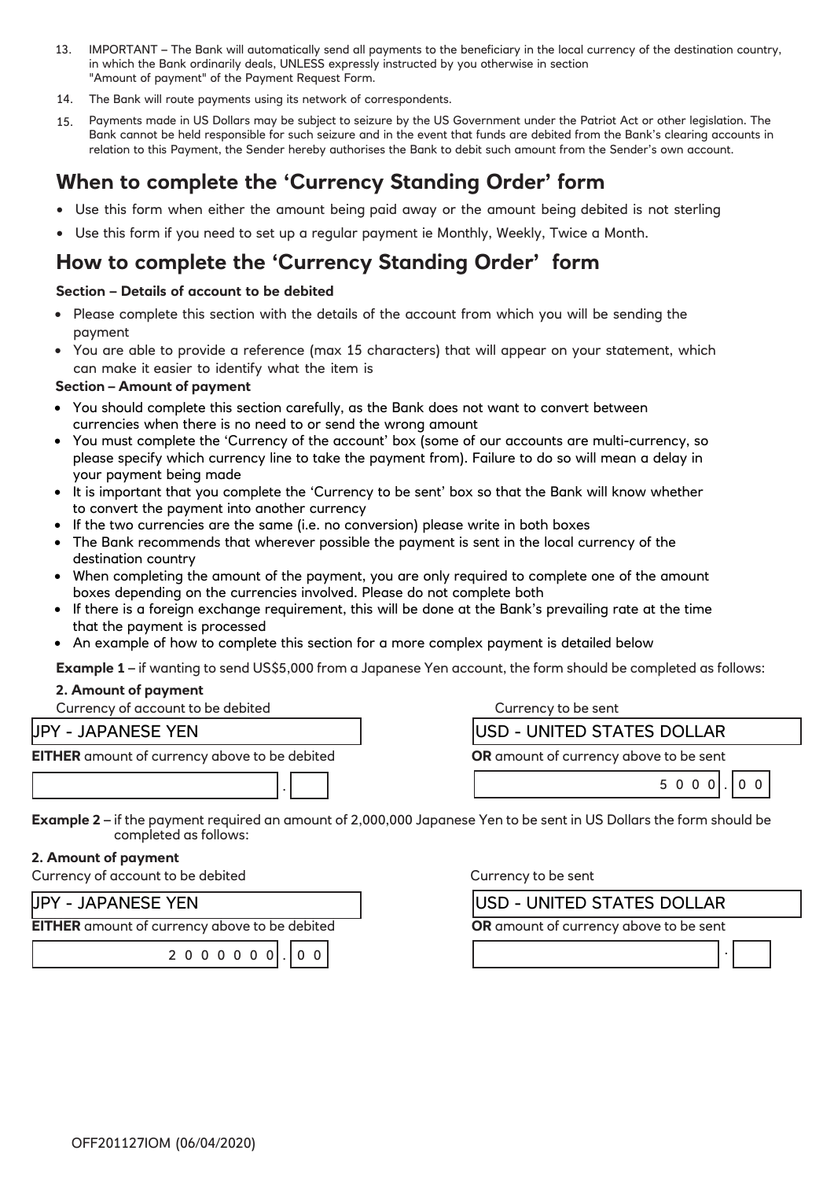- IMPORTANT The Bank will automatically send all payments to the beneficiary in the local currency of the destination country, in which the Bank ordinarily deals, UNLESS expressly instructed by you otherwise in section "Amount of payment" of the Payment Request Form. 13.
- 14. The Bank will route payments using its network of correspondents.
- Payments made in US Dollars may be subject to seizure by the US Government under the Patriot Act or other legislation. The Bank cannot be held responsible for such seizure and in the event that funds are debited from the Bank's clearing accounts in relation to this Payment, the Sender hereby authorises the Bank to debit such amount from the Sender's own account. 15.

# **When to complete the 'Currency Standing Order' form**

- Use this form when either the amount being paid away or the amount being debited is not sterling
- Use this form if you need to set up a regular payment ie Monthly, Weekly, Twice a Month.

# **How to complete the 'Currency Standing Order' form**

## **Section – Details of account to be debited**

- Please complete this section with the details of the account from which you will be sending the payment
- You are able to provide a reference (max 15 characters) that will appear on your statement, which can make it easier to identify what the item is

## **Section – Amount of payment**

- You should complete this section carefully, as the Bank does not want to convert between currencies when there is no need to or send the wrong amount
- You must complete the 'Currency of the account' box (some of our accounts are multi-currency, so please specify which currency line to take the payment from). Failure to do so will mean a delay in your payment being made
- It is important that you complete the 'Currency to be sent' box so that the Bank will know whether to convert the payment into another currency
- If the two currencies are the same (i.e. no conversion) please write in both boxes
- The Bank recommends that wherever possible the payment is sent in the local currency of the destination country
- When completing the amount of the payment, you are only required to complete one of the amount boxes depending on the currencies involved. Please do not complete both
- If there is a foreign exchange requirement, this will be done at the Bank's prevailing rate at the time that the payment is processed
- An example of how to complete this section for a more complex payment is detailed below

**Example 1** – if wanting to send US\$5,000 from a Japanese Yen account, the form should be completed as follows:

## **2. Amount of payment**

| Currency of account to be debited | Currency to be sent |
|-----------------------------------|---------------------|
|                                   |                     |

## JPY - JAPANESE YEN

**EITHER** amount of currency above to be debited

2 0 0 0 0 0 0 . 0 0

| USD - UNITED STATES DOLLAR             |  |  |             |  |
|----------------------------------------|--|--|-------------|--|
| OR amount of currency above to be sent |  |  |             |  |
|                                        |  |  | $5000$ . 00 |  |

**Example 2** – if the payment required an amount of 2,000,000 Japanese Yen to be sent in US Dollars the form should be completed as follows:

## **2. Amount of payment**

Currency of account to be debited Currency to be sent

| JPY - JAPANESE YEN                                   |  |  |  |  |  |  |  |  |  |
|------------------------------------------------------|--|--|--|--|--|--|--|--|--|
| <b>EITHER</b> amount of currency above to be debited |  |  |  |  |  |  |  |  |  |
| $2000000$ $ 00$                                      |  |  |  |  |  |  |  |  |  |

| <b>USD - UNITED STATES DOLLAR</b>             |  |  |  |  |  |
|-----------------------------------------------|--|--|--|--|--|
| <b>OR</b> amount of currency above to be sent |  |  |  |  |  |
|                                               |  |  |  |  |  |